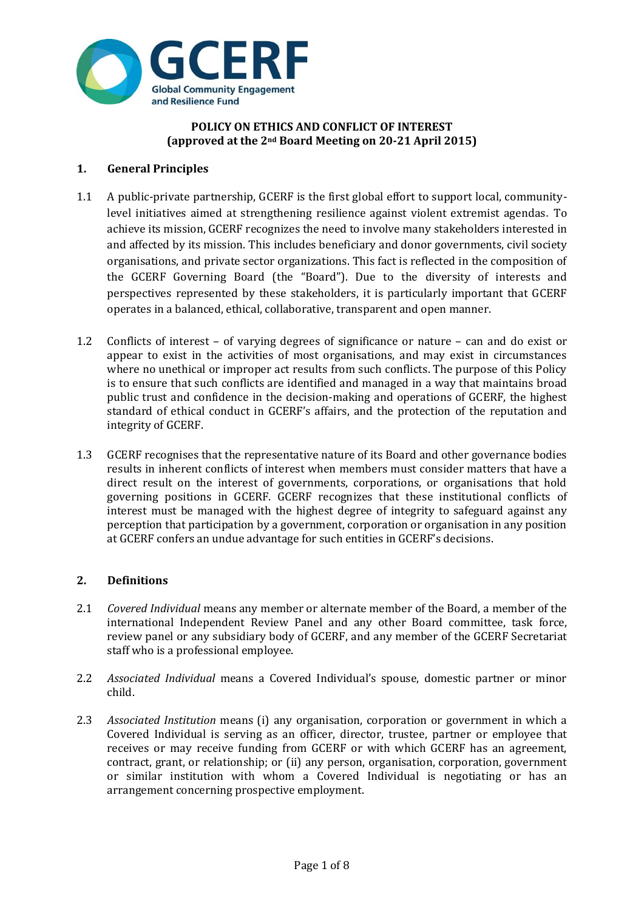

## **POLICY ON ETHICS AND CONFLICT OF INTEREST (approved at the 2nd Board Meeting on 20-21 April 2015)**

# **1. General Principles**

- 1.1 A public-private partnership, GCERF is the first global effort to support local, communitylevel initiatives aimed at strengthening resilience against violent extremist agendas**.** To achieve its mission, GCERF recognizes the need to involve many stakeholders interested in and affected by its mission. This includes beneficiary and donor governments, civil society organisations, and private sector organizations. This fact is reflected in the composition of the GCERF Governing Board (the "Board"). Due to the diversity of interests and perspectives represented by these stakeholders, it is particularly important that GCERF operates in a balanced, ethical, collaborative, transparent and open manner.
- 1.2 Conflicts of interest of varying degrees of significance or nature can and do exist or appear to exist in the activities of most organisations, and may exist in circumstances where no unethical or improper act results from such conflicts. The purpose of this Policy is to ensure that such conflicts are identified and managed in a way that maintains broad public trust and confidence in the decision-making and operations of GCERF, the highest standard of ethical conduct in GCERF's affairs, and the protection of the reputation and integrity of GCERF.
- 1.3 GCERF recognises that the representative nature of its Board and other governance bodies results in inherent conflicts of interest when members must consider matters that have a direct result on the interest of governments, corporations, or organisations that hold governing positions in GCERF. GCERF recognizes that these institutional conflicts of interest must be managed with the highest degree of integrity to safeguard against any perception that participation by a government, corporation or organisation in any position at GCERF confers an undue advantage for such entities in GCERF's decisions.

## **2. Definitions**

- 2.1 *Covered Individual* means any member or alternate member of the Board, a member of the international Independent Review Panel and any other Board committee, task force, review panel or any subsidiary body of GCERF, and any member of the GCERF Secretariat staff who is a professional employee.
- 2.2 *Associated Individual* means a Covered Individual's spouse, domestic partner or minor child.
- 2.3 *Associated Institution* means (i) any organisation, corporation or government in which a Covered Individual is serving as an officer, director, trustee, partner or employee that receives or may receive funding from GCERF or with which GCERF has an agreement, contract, grant, or relationship; or (ii) any person, organisation, corporation, government or similar institution with whom a Covered Individual is negotiating or has an arrangement concerning prospective employment.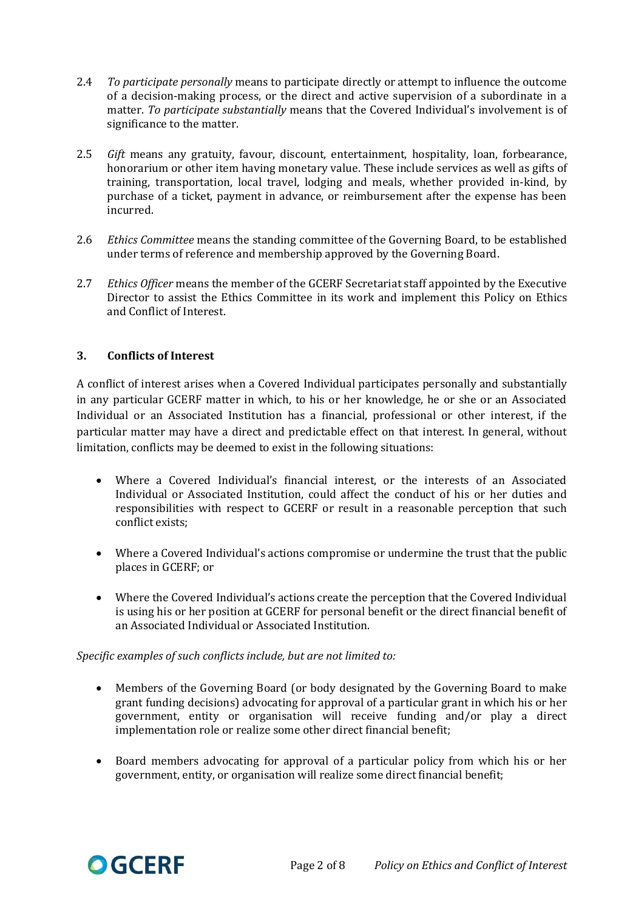- 2.4 *To participate personally* means to participate directly or attempt to influence the outcome of a decision-making process, or the direct and active supervision of a subordinate in a matter. *To participate substantially* means that the Covered Individual's involvement is of significance to the matter.
- 2.5 *Gift* means any gratuity, favour, discount, entertainment, hospitality, loan, forbearance, honorarium or other item having monetary value. These include services as well as gifts of training, transportation, local travel, lodging and meals, whether provided in-kind, by purchase of a ticket, payment in advance, or reimbursement after the expense has been incurred.
- 2.6 *Ethics Committee* means the standing committee of the Governing Board, to be established under terms of reference and membership approved by the Governing Board.
- 2.7 *Ethics Officer* means the member of the GCERF Secretariat staff appointed by the Executive Director to assist the Ethics Committee in its work and implement this Policy on Ethics and Conflict of Interest.

# **3. Conflicts of Interest**

A conflict of interest arises when a Covered Individual participates personally and substantially in any particular GCERF matter in which, to his or her knowledge, he or she or an Associated Individual or an Associated Institution has a financial, professional or other interest, if the particular matter may have a direct and predictable effect on that interest. In general, without limitation, conflicts may be deemed to exist in the following situations:

- Where a Covered Individual's financial interest, or the interests of an Associated Individual or Associated Institution, could affect the conduct of his or her duties and responsibilities with respect to GCERF or result in a reasonable perception that such conflict exists;
- Where a Covered Individual's actions compromise or undermine the trust that the public places in GCERF; or
- Where the Covered Individual's actions create the perception that the Covered Individual is using his or her position at GCERF for personal benefit or the direct financial benefit of an Associated Individual or Associated Institution.

## *Specific examples of such conflicts include, but are not limited to:*

- Members of the Governing Board (or body designated by the Governing Board to make grant funding decisions) advocating for approval of a particular grant in which his or her government, entity or organisation will receive funding and/or play a direct implementation role or realize some other direct financial benefit;
- Board members advocating for approval of a particular policy from which his or her government, entity, or organisation will realize some direct financial benefit;

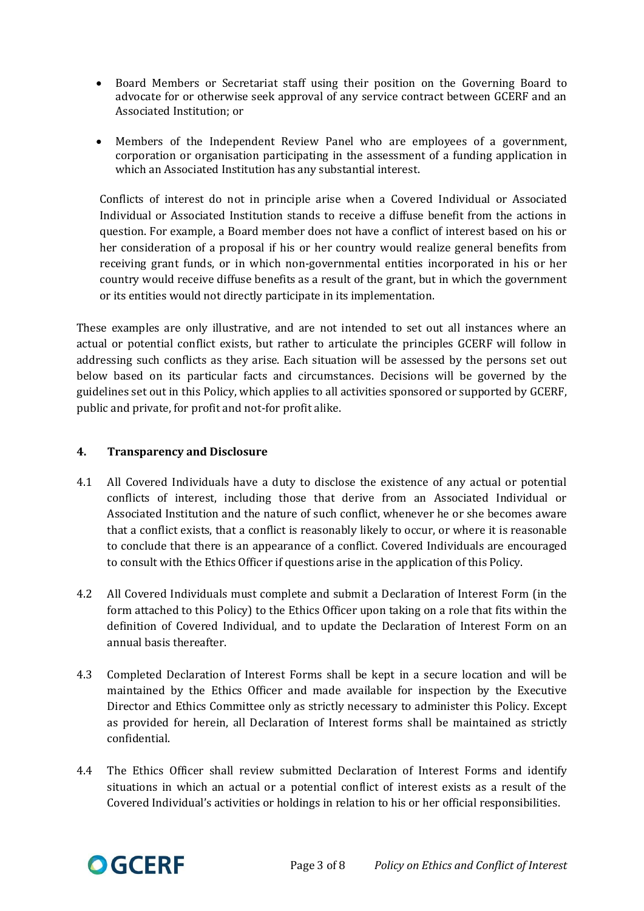- Board Members or Secretariat staff using their position on the Governing Board to advocate for or otherwise seek approval of any service contract between GCERF and an Associated Institution; or
- Members of the Independent Review Panel who are employees of a government, corporation or organisation participating in the assessment of a funding application in which an Associated Institution has any substantial interest.

Conflicts of interest do not in principle arise when a Covered Individual or Associated Individual or Associated Institution stands to receive a diffuse benefit from the actions in question. For example, a Board member does not have a conflict of interest based on his or her consideration of a proposal if his or her country would realize general benefits from receiving grant funds, or in which non-governmental entities incorporated in his or her country would receive diffuse benefits as a result of the grant, but in which the government or its entities would not directly participate in its implementation.

These examples are only illustrative, and are not intended to set out all instances where an actual or potential conflict exists, but rather to articulate the principles GCERF will follow in addressing such conflicts as they arise. Each situation will be assessed by the persons set out below based on its particular facts and circumstances. Decisions will be governed by the guidelines set out in this Policy, which applies to all activities sponsored or supported by GCERF, public and private, for profit and not-for profit alike.

# **4. Transparency and Disclosure**

- 4.1 All Covered Individuals have a duty to disclose the existence of any actual or potential conflicts of interest, including those that derive from an Associated Individual or Associated Institution and the nature of such conflict, whenever he or she becomes aware that a conflict exists, that a conflict is reasonably likely to occur, or where it is reasonable to conclude that there is an appearance of a conflict. Covered Individuals are encouraged to consult with the Ethics Officer if questions arise in the application of this Policy.
- 4.2 All Covered Individuals must complete and submit a Declaration of Interest Form (in the form attached to this Policy) to the Ethics Officer upon taking on a role that fits within the definition of Covered Individual, and to update the Declaration of Interest Form on an annual basis thereafter.
- 4.3 Completed Declaration of Interest Forms shall be kept in a secure location and will be maintained by the Ethics Officer and made available for inspection by the Executive Director and Ethics Committee only as strictly necessary to administer this Policy. Except as provided for herein, all Declaration of Interest forms shall be maintained as strictly confidential.
- 4.4 The Ethics Officer shall review submitted Declaration of Interest Forms and identify situations in which an actual or a potential conflict of interest exists as a result of the Covered Individual's activities or holdings in relation to his or her official responsibilities.

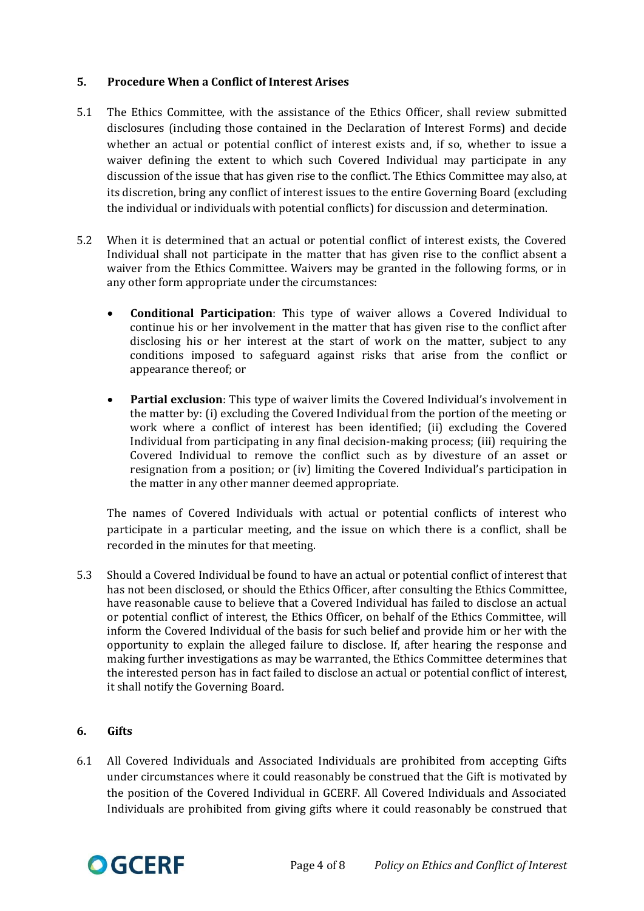# **5. Procedure When a Conflict of Interest Arises**

- 5.1 The Ethics Committee, with the assistance of the Ethics Officer, shall review submitted disclosures (including those contained in the Declaration of Interest Forms) and decide whether an actual or potential conflict of interest exists and, if so, whether to issue a waiver defining the extent to which such Covered Individual may participate in any discussion of the issue that has given rise to the conflict. The Ethics Committee may also, at its discretion, bring any conflict of interest issues to the entire Governing Board (excluding the individual or individuals with potential conflicts) for discussion and determination.
- 5.2 When it is determined that an actual or potential conflict of interest exists, the Covered Individual shall not participate in the matter that has given rise to the conflict absent a waiver from the Ethics Committee. Waivers may be granted in the following forms, or in any other form appropriate under the circumstances:
	- **Conditional Participation**: This type of waiver allows a Covered Individual to continue his or her involvement in the matter that has given rise to the conflict after disclosing his or her interest at the start of work on the matter, subject to any conditions imposed to safeguard against risks that arise from the conflict or appearance thereof; or
	- **Partial exclusion**: This type of waiver limits the Covered Individual's involvement in the matter by: (i) excluding the Covered Individual from the portion of the meeting or work where a conflict of interest has been identified; (ii) excluding the Covered Individual from participating in any final decision-making process; (iii) requiring the Covered Individual to remove the conflict such as by divesture of an asset or resignation from a position; or (iv) limiting the Covered Individual's participation in the matter in any other manner deemed appropriate.

The names of Covered Individuals with actual or potential conflicts of interest who participate in a particular meeting, and the issue on which there is a conflict, shall be recorded in the minutes for that meeting.

5.3 Should a Covered Individual be found to have an actual or potential conflict of interest that has not been disclosed, or should the Ethics Officer, after consulting the Ethics Committee, have reasonable cause to believe that a Covered Individual has failed to disclose an actual or potential conflict of interest, the Ethics Officer, on behalf of the Ethics Committee, will inform the Covered Individual of the basis for such belief and provide him or her with the opportunity to explain the alleged failure to disclose. If, after hearing the response and making further investigations as may be warranted, the Ethics Committee determines that the interested person has in fact failed to disclose an actual or potential conflict of interest, it shall notify the Governing Board.

## **6. Gifts**

6.1 All Covered Individuals and Associated Individuals are prohibited from accepting Gifts under circumstances where it could reasonably be construed that the Gift is motivated by the position of the Covered Individual in GCERF. All Covered Individuals and Associated Individuals are prohibited from giving gifts where it could reasonably be construed that

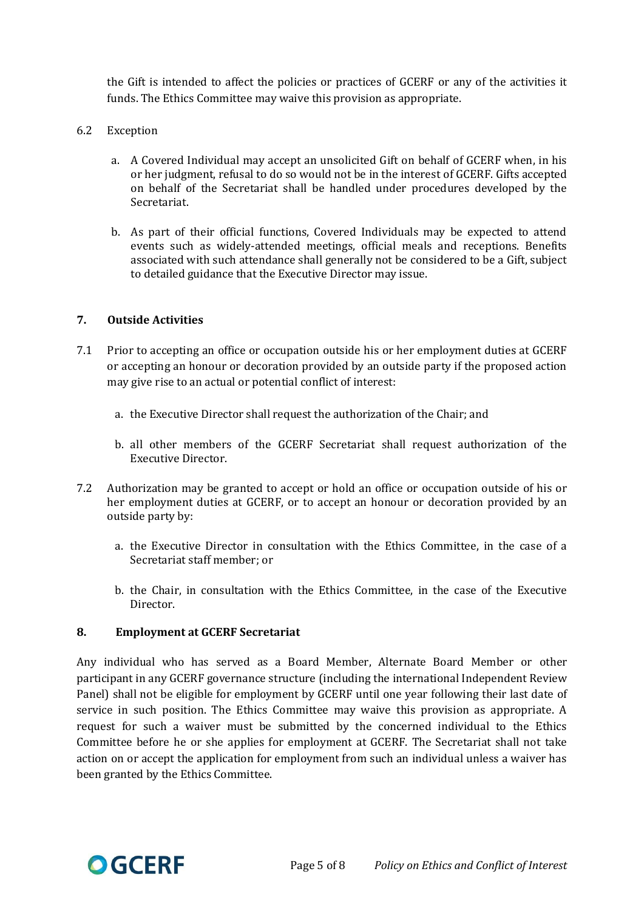the Gift is intended to affect the policies or practices of GCERF or any of the activities it funds. The Ethics Committee may waive this provision as appropriate.

- 6.2 Exception
	- a. A Covered Individual may accept an unsolicited Gift on behalf of GCERF when, in his or her judgment, refusal to do so would not be in the interest of GCERF. Gifts accepted on behalf of the Secretariat shall be handled under procedures developed by the Secretariat.
	- b. As part of their official functions, Covered Individuals may be expected to attend events such as widely-attended meetings, official meals and receptions. Benefits associated with such attendance shall generally not be considered to be a Gift, subject to detailed guidance that the Executive Director may issue.

### **7. Outside Activities**

- 7.1 Prior to accepting an office or occupation outside his or her employment duties at GCERF or accepting an honour or decoration provided by an outside party if the proposed action may give rise to an actual or potential conflict of interest:
	- a. the Executive Director shall request the authorization of the Chair; and
	- b. all other members of the GCERF Secretariat shall request authorization of the Executive Director.
- 7.2 Authorization may be granted to accept or hold an office or occupation outside of his or her employment duties at GCERF, or to accept an honour or decoration provided by an outside party by:
	- a. the Executive Director in consultation with the Ethics Committee, in the case of a Secretariat staff member; or
	- b. the Chair, in consultation with the Ethics Committee, in the case of the Executive Director.

#### **8. Employment at GCERF Secretariat**

Any individual who has served as a Board Member, Alternate Board Member or other participant in any GCERF governance structure (including the international Independent Review Panel) shall not be eligible for employment by GCERF until one year following their last date of service in such position. The Ethics Committee may waive this provision as appropriate. A request for such a waiver must be submitted by the concerned individual to the Ethics Committee before he or she applies for employment at GCERF. The Secretariat shall not take action on or accept the application for employment from such an individual unless a waiver has been granted by the Ethics Committee.

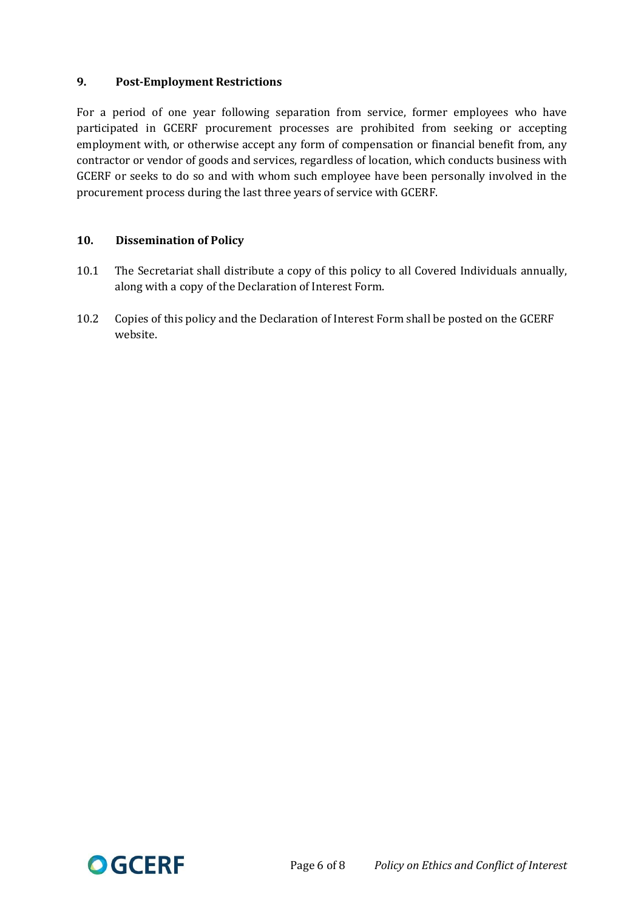# **9. Post-Employment Restrictions**

For a period of one year following separation from service, former employees who have participated in GCERF procurement processes are prohibited from seeking or accepting employment with, or otherwise accept any form of compensation or financial benefit from, any contractor or vendor of goods and services, regardless of location, which conducts business with GCERF or seeks to do so and with whom such employee have been personally involved in the procurement process during the last three years of service with GCERF.

## **10. Dissemination of Policy**

- 10.1 The Secretariat shall distribute a copy of this policy to all Covered Individuals annually, along with a copy of the Declaration of Interest Form.
- 10.2 Copies of this policy and the Declaration of Interest Form shall be posted on the GCERF website.

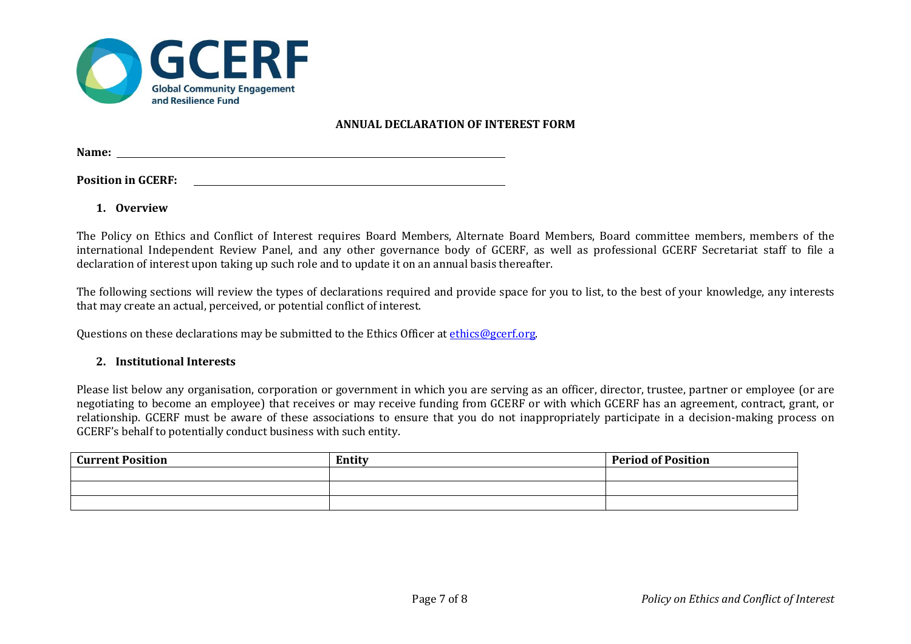

### **ANNUAL DECLARATION OF INTEREST FORM**

**Name:**  

**Position in GCERF:**

**1. Overview**

The Policy on Ethics and Conflict of Interest requires Board Members, Alternate Board Members, Board committee members, members of the international Independent Review Panel, and any other governance body of GCERF, as well as professional GCERF Secretariat staff to file a declaration of interest upon taking up such role and to update it on an annual basis thereafter.

The following sections will review the types of declarations required and provide space for you to list, to the best of your knowledge, any interests that may create an actual, perceived, or potential conflict of interest.

Questions on these declarations may be submitted to the Ethics Officer a[t ethics@gcerf.org.](mailto:ethics@gcerf.org)

### **2. Institutional Interests**

Please list below any organisation, corporation or government in which you are serving as an officer, director, trustee, partner or employee (or are negotiating to become an employee) that receives or may receive funding from GCERF or with which GCERF has an agreement, contract, grant, or relationship. GCERF must be aware of these associations to ensure that you do not inappropriately participate in a decision-making process on GCERF's behalf to potentially conduct business with such entity.

| <b>Current Position</b> | Entity | <b>Period of Position</b> |
|-------------------------|--------|---------------------------|
|                         |        |                           |
|                         |        |                           |
|                         |        |                           |